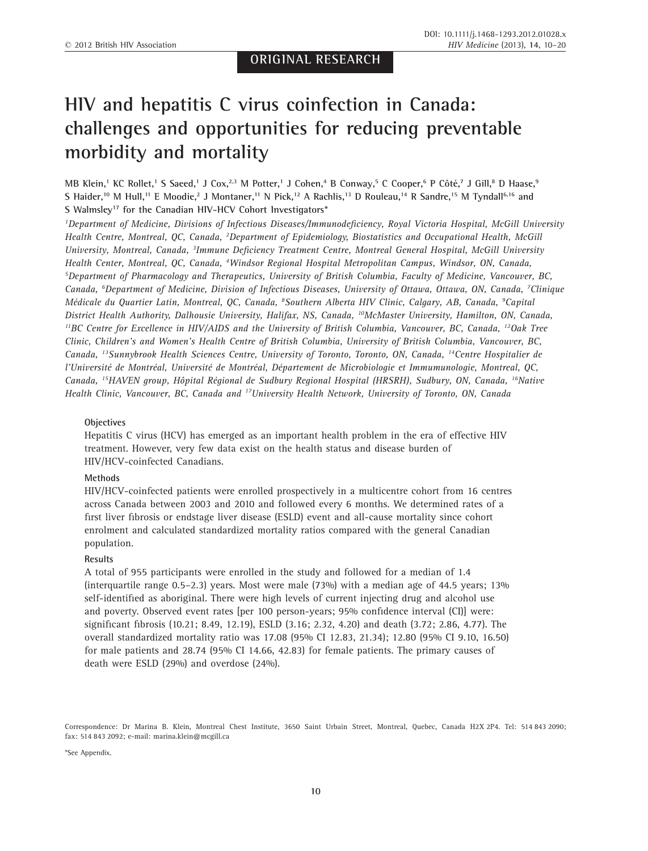# **HIV and hepatitis C virus coinfection in Canada: challenges and opportunities for reducing preventable morbidity and mortality**

**MB Klein,1 KC Rollet,1 S Saeed,1 J Cox,2,3 M Potter,1 J Cohen,4 B Conway,5 C Cooper,6 P Côté,7 J Gill,8 D Haase,9 S Haider,10 M Hull,11 E Moodie,2 J Montaner,11 N Pick,12 A Rachlis,13 D Rouleau,14 R Sandre,15 M Tyndall6,16 and S Walmsley17 for the Canadian HIV-HCV Cohort Investigators\***

*1 Department of Medicine, Divisions of Infectious Diseases/Immunodeficiency, Royal Victoria Hospital, McGill University Health Centre, Montreal, QC, Canada, <sup>2</sup> Department of Epidemiology, Biostatistics and Occupational Health, McGill University, Montreal, Canada, <sup>3</sup> Immune Deficiency Treatment Centre, Montreal General Hospital, McGill University Health Center, Montreal, QC, Canada, <sup>4</sup> Windsor Regional Hospital Metropolitan Campus, Windsor, ON, Canada, 5 Department of Pharmacology and Therapeutics, University of British Columbia, Faculty of Medicine, Vancouver, BC, Canada, <sup>6</sup> Department of Medicine, Division of Infectious Diseases, University of Ottawa, Ottawa, ON, Canada, <sup>7</sup> Clinique Médicale du Quartier Latin, Montreal, QC, Canada, <sup>8</sup> Southern Alberta HIV Clinic, Calgary, AB, Canada, <sup>9</sup> Capital District Health Authority, Dalhousie University, Halifax, NS, Canada, 10McMaster University, Hamilton, ON, Canada, 11BC Centre for Excellence in HIV/AIDS and the University of British Columbia, Vancouver, BC, Canada, 12Oak Tree Clinic, Children's and Women's Health Centre of British Columbia, University of British Columbia, Vancouver, BC, Canada, 13Sunnybrook Health Sciences Centre, University of Toronto, Toronto, ON, Canada, 14Centre Hospitalier de l'Université de Montréal, Université de Montréal, Département de Microbiologie et Immumunologie, Montreal, QC, Canada, 15HAVEN group, Hôpital Régional de Sudbury Regional Hospital (HRSRH), Sudbury, ON, Canada, 16Native Health Clinic, Vancouver, BC, Canada and 17University Health Network, University of Toronto, ON, Canada*

#### **Objectives**

Hepatitis C virus (HCV) has emerged as an important health problem in the era of effective HIV treatment. However, very few data exist on the health status and disease burden of HIV/HCV-coinfected Canadians.

#### **Methods**

HIV/HCV-coinfected patients were enrolled prospectively in a multicentre cohort from 16 centres across Canada between 2003 and 2010 and followed every 6 months. We determined rates of a first liver fibrosis or endstage liver disease (ESLD) event and all-cause mortality since cohort enrolment and calculated standardized mortality ratios compared with the general Canadian population.

#### **Results**

A total of 955 participants were enrolled in the study and followed for a median of 1.4 (interquartile range  $0.5-2.3$ ) years. Most were male  $(73\%)$  with a median age of 44.5 years; 13% self-identified as aboriginal. There were high levels of current injecting drug and alcohol use and poverty. Observed event rates [per 100 person-years; 95% confidence interval (CI)] were: significant fibrosis (10.21; 8.49, 12.19), ESLD (3.16; 2.32, 4.20) and death (3.72; 2.86, 4.77). The overall standardized mortality ratio was 17.08 (95% CI 12.83, 21.34); 12.80 (95% CI 9.10, 16.50) for male patients and 28.74 (95% CI 14.66, 42.83) for female patients. The primary causes of death were ESLD (29%) and overdose (24%).

Correspondence: Dr Marina B. Klein, Montreal Chest Institute, 3650 Saint Urbain Street, Montreal, Quebec, Canada H2X 2P4. Tel: 514 843 2090; fax: 514 843 2092; e-mail: marina.klein@mcgill.ca

\*See Appendix.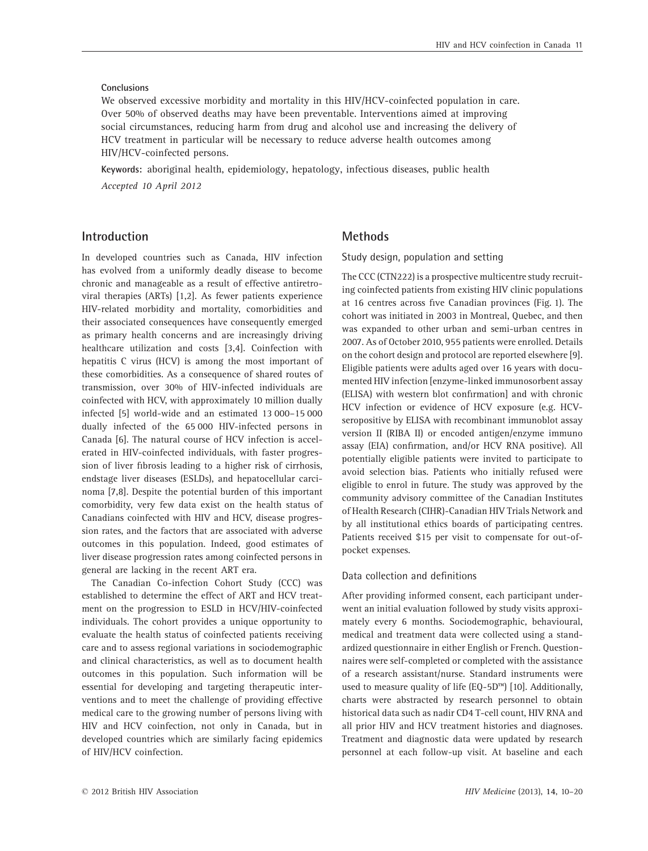#### **Conclusions**

We observed excessive morbidity and mortality in this HIV/HCV-coinfected population in care. Over 50% of observed deaths may have been preventable. Interventions aimed at improving social circumstances, reducing harm from drug and alcohol use and increasing the delivery of HCV treatment in particular will be necessary to reduce adverse health outcomes among HIV/HCV-coinfected persons.

**Keywords:** aboriginal health, epidemiology, hepatology, infectious diseases, public health *Accepted 10 April 2012*

## **Introduction**

In developed countries such as Canada, HIV infection has evolved from a uniformly deadly disease to become chronic and manageable as a result of effective antiretroviral therapies (ARTs) [1,2]. As fewer patients experience HIV-related morbidity and mortality, comorbidities and their associated consequences have consequently emerged as primary health concerns and are increasingly driving healthcare utilization and costs [3,4]. Coinfection with hepatitis C virus (HCV) is among the most important of these comorbidities. As a consequence of shared routes of transmission, over 30% of HIV-infected individuals are coinfected with HCV, with approximately 10 million dually infected [5] world-wide and an estimated 13 000–15 000 dually infected of the 65 000 HIV-infected persons in Canada [6]. The natural course of HCV infection is accelerated in HIV-coinfected individuals, with faster progression of liver fibrosis leading to a higher risk of cirrhosis, endstage liver diseases (ESLDs), and hepatocellular carcinoma [7,8]. Despite the potential burden of this important comorbidity, very few data exist on the health status of Canadians coinfected with HIV and HCV, disease progression rates, and the factors that are associated with adverse outcomes in this population. Indeed, good estimates of liver disease progression rates among coinfected persons in general are lacking in the recent ART era.

The Canadian Co-infection Cohort Study (CCC) was established to determine the effect of ART and HCV treatment on the progression to ESLD in HCV/HIV-coinfected individuals. The cohort provides a unique opportunity to evaluate the health status of coinfected patients receiving care and to assess regional variations in sociodemographic and clinical characteristics, as well as to document health outcomes in this population. Such information will be essential for developing and targeting therapeutic interventions and to meet the challenge of providing effective medical care to the growing number of persons living with HIV and HCV coinfection, not only in Canada, but in developed countries which are similarly facing epidemics of HIV/HCV coinfection.

## **Methods**

Study design, population and setting

The CCC (CTN222) is a prospective multicentre study recruiting coinfected patients from existing HIV clinic populations at 16 centres across five Canadian provinces (Fig. 1). The cohort was initiated in 2003 in Montreal, Quebec, and then was expanded to other urban and semi-urban centres in 2007. As of October 2010, 955 patients were enrolled. Details on the cohort design and protocol are reported elsewhere [9]. Eligible patients were adults aged over 16 years with documented HIV infection [enzyme-linked immunosorbent assay (ELISA) with western blot confirmation] and with chronic HCV infection or evidence of HCV exposure (e.g. HCVseropositive by ELISA with recombinant immunoblot assay version II (RIBA II) or encoded antigen/enzyme immuno assay (EIA) confirmation, and/or HCV RNA positive). All potentially eligible patients were invited to participate to avoid selection bias. Patients who initially refused were eligible to enrol in future. The study was approved by the community advisory committee of the Canadian Institutes of Health Research (CIHR)-Canadian HIV Trials Network and by all institutional ethics boards of participating centres. Patients received \$15 per visit to compensate for out-ofpocket expenses.

#### Data collection and definitions

After providing informed consent, each participant underwent an initial evaluation followed by study visits approximately every 6 months. Sociodemographic, behavioural, medical and treatment data were collected using a standardized questionnaire in either English or French. Questionnaires were self-completed or completed with the assistance of a research assistant/nurse. Standard instruments were used to measure quality of life (EQ-5D™) [10]. Additionally, charts were abstracted by research personnel to obtain historical data such as nadir CD4 T-cell count, HIV RNA and all prior HIV and HCV treatment histories and diagnoses. Treatment and diagnostic data were updated by research personnel at each follow-up visit. At baseline and each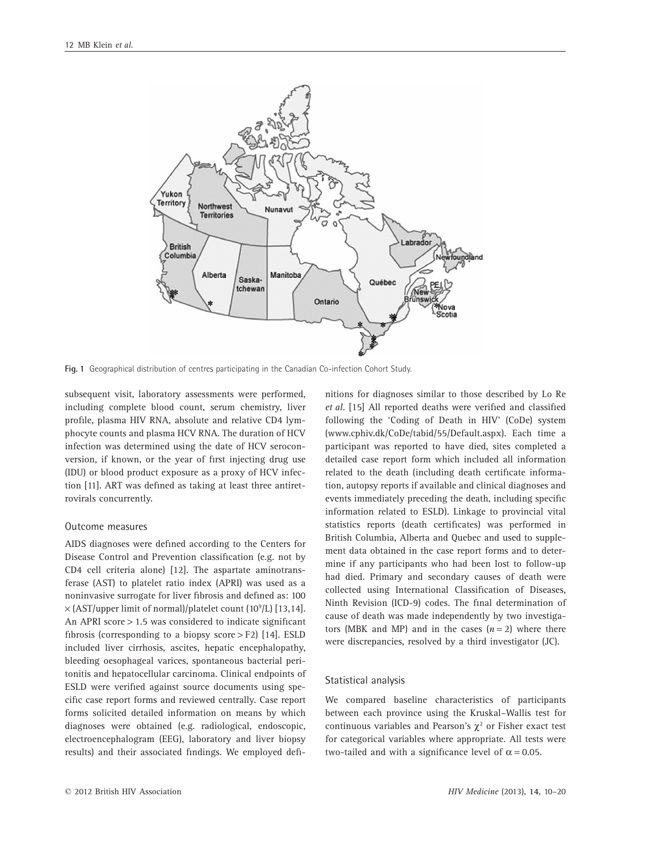

**Fig. 1** Geographical distribution of centres participating in the Canadian Co-infection Cohort Study.

subsequent visit, laboratory assessments were performed, including complete blood count, serum chemistry, liver profile, plasma HIV RNA, absolute and relative CD4 lymphocyte counts and plasma HCV RNA. The duration of HCV infection was determined using the date of HCV seroconversion, if known, or the year of first injecting drug use (IDU) or blood product exposure as a proxy of HCV infection [11]. ART was defined as taking at least three antiretrovirals concurrently.

#### Outcome measures

AIDS diagnoses were defined according to the Centers for Disease Control and Prevention classification (e.g. not by CD4 cell criteria alone) [12]. The aspartate aminotransferase (AST) to platelet ratio index (APRI) was used as a noninvasive surrogate for liver fibrosis and defined as: 100  $\times$  (AST/upper limit of normal)/platelet count (10 $^9$ /L) [13,14]. An APRI score > 1.5 was considered to indicate significant fibrosis (corresponding to a biopsy score  $>$  F2) [14]. ESLD included liver cirrhosis, ascites, hepatic encephalopathy, bleeding oesophageal varices, spontaneous bacterial peritonitis and hepatocellular carcinoma. Clinical endpoints of ESLD were verified against source documents using specific case report forms and reviewed centrally. Case report forms solicited detailed information on means by which diagnoses were obtained (e.g. radiological, endoscopic, electroencephalogram (EEG), laboratory and liver biopsy results) and their associated findings. We employed defi-

*et al*. [15] All reported deaths were verified and classified following the 'Coding of Death in HIV' (CoDe) system (www.cphiv.dk/CoDe/tabid/55/Default.aspx). Each time a participant was reported to have died, sites completed a detailed case report form which included all information related to the death (including death certificate information, autopsy reports if available and clinical diagnoses and events immediately preceding the death, including specific information related to ESLD). Linkage to provincial vital statistics reports (death certificates) was performed in British Columbia, Alberta and Quebec and used to supplement data obtained in the case report forms and to determine if any participants who had been lost to follow-up had died. Primary and secondary causes of death were collected using International Classification of Diseases, Ninth Revision (ICD-9) codes. The final determination of cause of death was made independently by two investigators (MBK and MP) and in the cases  $(n=2)$  where there were discrepancies, resolved by a third investigator (JC).

nitions for diagnoses similar to those described by Lo Re

#### Statistical analysis

We compared baseline characteristics of participants between each province using the Kruskal–Wallis test for continuous variables and Pearson's  $\chi^2$  or Fisher exact test for categorical variables where appropriate. All tests were two-tailed and with a significance level of  $\alpha$  = 0.05.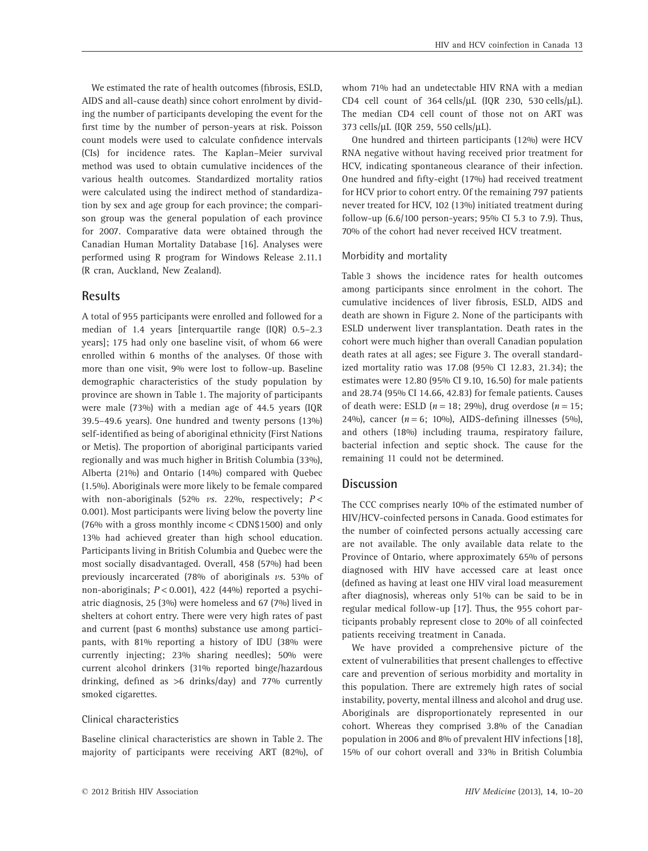We estimated the rate of health outcomes (fibrosis, ESLD, AIDS and all-cause death) since cohort enrolment by dividing the number of participants developing the event for the first time by the number of person-years at risk. Poisson count models were used to calculate confidence intervals (CIs) for incidence rates. The Kaplan–Meier survival method was used to obtain cumulative incidences of the various health outcomes. Standardized mortality ratios were calculated using the indirect method of standardization by sex and age group for each province; the comparison group was the general population of each province for 2007. Comparative data were obtained through the Canadian Human Mortality Database [16]. Analyses were performed using R program for Windows Release 2.11.1 (R cran, Auckland, New Zealand).

### **Results**

A total of 955 participants were enrolled and followed for a median of 1.4 years [interquartile range (IQR) 0.5–2.3 years]; 175 had only one baseline visit, of whom 66 were enrolled within 6 months of the analyses. Of those with more than one visit, 9% were lost to follow-up. Baseline demographic characteristics of the study population by province are shown in Table 1. The majority of participants were male (73%) with a median age of 44.5 years (IQR 39.5–49.6 years). One hundred and twenty persons (13%) self-identified as being of aboriginal ethnicity (First Nations or Metis). The proportion of aboriginal participants varied regionally and was much higher in British Columbia (33%), Alberta (21%) and Ontario (14%) compared with Quebec (1.5%). Aboriginals were more likely to be female compared with non-aboriginals (52% *vs.* 22%, respectively; *P* < 0.001). Most participants were living below the poverty line (76% with a gross monthly income < CDN\$1500) and only 13% had achieved greater than high school education. Participants living in British Columbia and Quebec were the most socially disadvantaged. Overall, 458 (57%) had been previously incarcerated (78% of aboriginals *vs.* 53% of non-aboriginals; *P* < 0.001), 422 (44%) reported a psychiatric diagnosis, 25 (3%) were homeless and 67 (7%) lived in shelters at cohort entry. There were very high rates of past and current (past 6 months) substance use among participants, with 81% reporting a history of IDU (38% were currently injecting; 23% sharing needles); 50% were current alcohol drinkers (31% reported binge/hazardous drinking, defined as >6 drinks/day) and 77% currently smoked cigarettes.

#### Clinical characteristics

Baseline clinical characteristics are shown in Table 2. The majority of participants were receiving ART (82%), of whom 71% had an undetectable HIV RNA with a median CD4 cell count of  $364$  cells/ $\mu$ L (IQR 230, 530 cells/ $\mu$ L). The median CD4 cell count of those not on ART was 373 cells/µL (IQR 259, 550 cells/µL).

One hundred and thirteen participants (12%) were HCV RNA negative without having received prior treatment for HCV, indicating spontaneous clearance of their infection. One hundred and fifty-eight (17%) had received treatment for HCV prior to cohort entry. Of the remaining 797 patients never treated for HCV, 102 (13%) initiated treatment during follow-up (6.6/100 person-years; 95% CI 5.3 to 7.9). Thus, 70% of the cohort had never received HCV treatment.

#### Morbidity and mortality

Table 3 shows the incidence rates for health outcomes among participants since enrolment in the cohort. The cumulative incidences of liver fibrosis, ESLD, AIDS and death are shown in Figure 2. None of the participants with ESLD underwent liver transplantation. Death rates in the cohort were much higher than overall Canadian population death rates at all ages; see Figure 3. The overall standardized mortality ratio was 17.08 (95% CI 12.83, 21.34); the estimates were 12.80 (95% CI 9.10, 16.50) for male patients and 28.74 (95% CI 14.66, 42.83) for female patients. Causes of death were: ESLD (*n* = 18; 29%), drug overdose (*n* = 15; 24%), cancer  $(n = 6; 10\%)$ , AIDS-defining illnesses  $(5\%)$ , and others (18%) including trauma, respiratory failure, bacterial infection and septic shock. The cause for the remaining 11 could not be determined.

## **Discussion**

The CCC comprises nearly 10% of the estimated number of HIV/HCV-coinfected persons in Canada. Good estimates for the number of coinfected persons actually accessing care are not available. The only available data relate to the Province of Ontario, where approximately 65% of persons diagnosed with HIV have accessed care at least once (defined as having at least one HIV viral load measurement after diagnosis), whereas only 51% can be said to be in regular medical follow-up [17]. Thus, the 955 cohort participants probably represent close to 20% of all coinfected patients receiving treatment in Canada.

We have provided a comprehensive picture of the extent of vulnerabilities that present challenges to effective care and prevention of serious morbidity and mortality in this population. There are extremely high rates of social instability, poverty, mental illness and alcohol and drug use. Aboriginals are disproportionately represented in our cohort. Whereas they comprised 3.8% of the Canadian population in 2006 and 8% of prevalent HIV infections [18], 15% of our cohort overall and 33% in British Columbia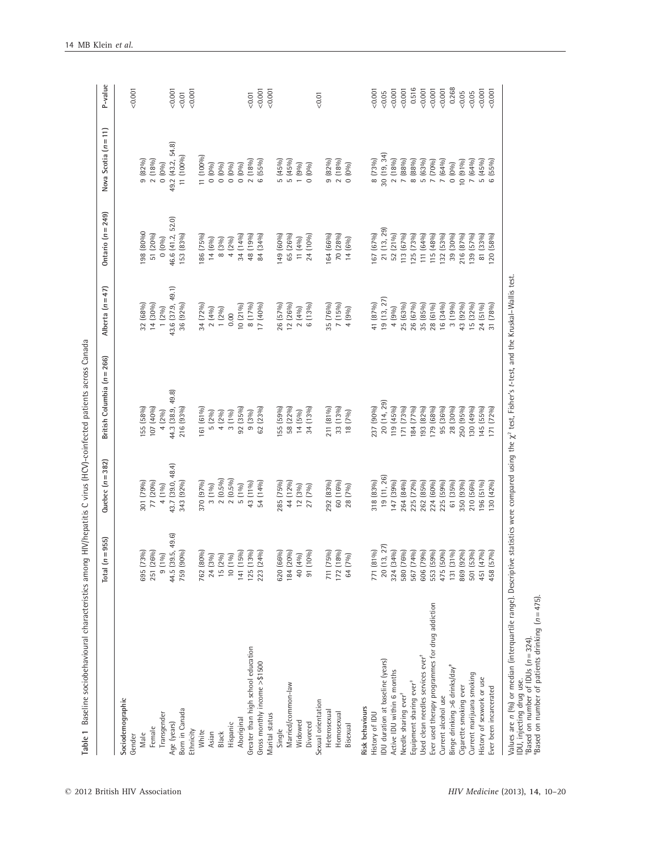| Table 1 Baseline sociobehavioural characteristics among HIV/hepatitis C virus (HCV)-coinfected patients across Canada                                         |                             |                                                                        |                            |                      |                   |                                                      |         |
|---------------------------------------------------------------------------------------------------------------------------------------------------------------|-----------------------------|------------------------------------------------------------------------|----------------------------|----------------------|-------------------|------------------------------------------------------|---------|
|                                                                                                                                                               | $(n = 955)$<br>Total        | Quebec $(n=382)$                                                       | British Columbia (n = 266) | Alberta $(n=47)$     | Ontario $(n=249)$ | Nova Scotia $(n = 11)$                               | P-value |
| Sociodemographic                                                                                                                                              |                             |                                                                        |                            |                      |                   |                                                      |         |
| Gender                                                                                                                                                        |                             |                                                                        |                            |                      |                   |                                                      | 0.001   |
| Male                                                                                                                                                          | 73%)<br>695                 | 301 (79%)                                                              | 155 (58%)                  | 32 (68%)<br>14 (30%) | 198 (80%00        | $9(82\%)$                                            |         |
| Female                                                                                                                                                        | 26%)<br>251                 | 77 (20%)                                                               | 107 (40%)                  |                      | 51 (20%)          | 2(18%)                                               |         |
| Transgender                                                                                                                                                   | 10/6<br>$\overline{0}$      | 4 (1%)                                                                 | 4 (2%)                     | $1 (2\%)$            | 0(000)            | $0 (0\%)$                                            |         |
| Age (years)                                                                                                                                                   | 39.5, 49.6)<br>44.5 (       | 43.7 (39.0, 48.4)                                                      | 44.3 (38.9, 49.8)          | 43.6 (37.9, 49.1)    | 46.6 (41.2, 52.0) | 49.2 (43.2, 54.8)                                    | 0.001   |
| Born in Canada                                                                                                                                                | 90%)<br>759 (               | 343 (92%)                                                              | 216 (93%)                  | 36 (92%)             | 153 (83%)         | 11 (100%)                                            | $-0.01$ |
| Ethnicity                                                                                                                                                     |                             |                                                                        |                            |                      |                   |                                                      | 0.001   |
| White                                                                                                                                                         | 80%)<br>762                 | 370 (97%)                                                              | 161 (61%)                  | 34 (72%)             | 186 (75%)         | 11 (100%)                                            |         |
| Asian                                                                                                                                                         | 3%)                         |                                                                        | 5 (2%)                     | 2(4%)                | 14 (6%)           | 0(000)                                               |         |
| Black                                                                                                                                                         | $2^{0/0}$<br>$24$ (<br>15 ( | $\begin{array}{c} 3 \ (1\%) \\ 2 \ (0.5\%) \\ 2 \ (0.5\%) \end{array}$ | 4(20/6)                    | 1 (200)              | 8(3%)             | 0(00/6)                                              |         |
| Hispanic                                                                                                                                                      | 10/6<br>$\frac{10}{10}$     |                                                                        | 3(10/0)                    | 0.00                 | 4 (2%)            | 0(000)                                               |         |
| Aboriginal                                                                                                                                                    | 15%)<br>141                 | 5 (1%)                                                                 | 92 (35%)                   | 10 (21%)             | 34 (14%)          | 0(0%)                                                |         |
| Greater than high school education                                                                                                                            | 13%)<br>125 <sub>0</sub>    | 43 (11%)                                                               | 9 (3%)                     | 8 (17%)              | 48 (19%)          | 2(18%)                                               | $-0.01$ |
| Gross monthly income >\$1500                                                                                                                                  | 24%)<br>223                 | 54 (14%)                                                               | 62 (23%)                   | 17 (40%)             | 84 (34%)          | 6 (55%)                                              | 0.001   |
| Marital status                                                                                                                                                |                             |                                                                        |                            |                      |                   |                                                      | 0.001   |
| Single                                                                                                                                                        | 66%)<br>620 (e              | 285 (75%)                                                              | 55 (59%)                   |                      | 49 (60%)          | 5 (45%)                                              |         |
| Married/common-law                                                                                                                                            | 20%)<br>184                 | 44 (12%)                                                               | 58 (22%)                   | 26 (57%)<br>12 (26%) | 65 (26%)          | 5 (45%)                                              |         |
| Widowed                                                                                                                                                       |                             | 12(300)                                                                | 14 (5%)                    | 2(40)                | 11 (4%)           | 1(90/6)                                              |         |
| Divorced                                                                                                                                                      | $40(4%)$<br>91 $(10%)$      | 27 (7%)                                                                | 34 (13%)                   | 6 (13%)              | 24 (10%)          | 0(0%)                                                |         |
| Sexual orientation                                                                                                                                            |                             |                                                                        |                            |                      |                   |                                                      | $-0.01$ |
| Heterosexual                                                                                                                                                  | 75%)<br>$\frac{1}{2}$       | 292 (83%)                                                              | 211 (81%)                  | 35 (76%)             | 164 (66%)         | $9(82\%)$                                            |         |
| Homosexual                                                                                                                                                    | 18%)<br>172                 | 60 (16%)                                                               | 33 (13%)                   | 7 (15%)              | 70 (28%)          |                                                      |         |
| Bisexual                                                                                                                                                      | 64 (7%)                     | 28 (7%)                                                                | 18 (7%)                    | 4 (9%)               | 14 (6%)           | $\begin{array}{c} 2 \ (18\%)\ 0 \ (0\%) \end{array}$ |         |
| Risk behaviours                                                                                                                                               |                             |                                                                        |                            |                      |                   |                                                      |         |
| History of IDU                                                                                                                                                | 771 (81%)                   | 318 (83%)                                                              | 237 (90%)                  | 41 (87%)             | 67 (67%)          | 8 (73%)                                              | 0.001   |
| DU duration at baseline (years)                                                                                                                               | 13, 27<br>20(               | 19 (11, 26)                                                            | 20 (14, 29)                | 19 (13, 27)          | 21 (13, 29)       | 30(19, 34)                                           | 0.05    |
| Active IDU within 6 months                                                                                                                                    | 34%)<br>324(                | 147 (39%)                                                              | 119 (45%)                  | 4 (9%)               | 52 (21%)          | $\frac{2}{7}$ (18%)<br>$\frac{1}{7}$ (88%)           | 0.001   |
| Veedle sharing ever <sup>+</sup>                                                                                                                              | 76%)<br>580                 | 264 (84%)                                                              | 171 (73%)                  | 25 (63%)             | 113 (67%)         |                                                      | 0.001   |
| Equipment sharing ever <sup>+</sup>                                                                                                                           | 74%)<br>567                 | 225 (72%)                                                              | 184 (77%)                  | 26 (67%)<br>35 (85%) | 125 (73%)         | 8 (88%)<br>5 (63%)<br>7 (70%)                        | 0.516   |
| Jsed clean needles services ever <sup>+</sup>                                                                                                                 | 79%)<br>606                 | 262 (85%)                                                              | 193 (82%)                  |                      | 111 (64%)         |                                                      | 0.001   |
| Ever used therapy programmes for drug addiction                                                                                                               | 59%)<br>553                 | 224 (60%)                                                              | 179 (68%)                  | 28 (61%)             | 115 (48%)         |                                                      | 0.001   |
| Current alcohol use                                                                                                                                           | 50%)<br>475                 | 225 (59%)                                                              | 95 (36%)                   | 16 (34%)             | 132 (53%)         | 7 (64%)                                              | 0.001   |
| Binge drinking >6 drinks/day                                                                                                                                  | 31%)<br>131                 | 61 (35%)                                                               | 28 (30%)                   | 3(19%)               | 39 (30%)          | 0(0%)                                                | 0.268   |
| Cigarette smoking ever                                                                                                                                        | 92%)<br>869                 | 350 (93%)                                                              | 250 (95%)                  | 43 (92%)             | 216 (87%)         | 10(91%)                                              | $<0.05$ |
| Current marijuana smoking                                                                                                                                     | 53%)<br>501                 | 210 (56%)                                                              | 130 (49%)                  | 15 (32%)             | 139 (57%)         | 7 (64%)                                              | $<0.05$ |
| History of sexwork or use                                                                                                                                     | 47%)<br>451                 | 196 (51%)                                                              | 145 (55%)                  | 24 (51%)<br>31 (78%) | 81 (33%)          | 5 (45%)                                              | 0.001   |
| Ever been incarcerated                                                                                                                                        | 57%)<br>458                 | 130 (42%)                                                              | 171 (72%)                  | (78%)                | 20 (58%)          | 6(55%)                                               | 0.001   |
| Values are n (%) or median (interquartile range). Descriptive statistics were compared using the $\chi^2$ test, Fisher's t-test, and the Kruskal-Wallis test. |                             |                                                                        |                            |                      |                   |                                                      |         |
| Based on number of IDUs $(n = 324)$ .<br>DU, injecting drug use.                                                                                              |                             |                                                                        |                            |                      |                   |                                                      |         |
| Based on number of patients drinking $(n = 475)$ .                                                                                                            |                             |                                                                        |                            |                      |                   |                                                      |         |
|                                                                                                                                                               |                             |                                                                        |                            |                      |                   |                                                      |         |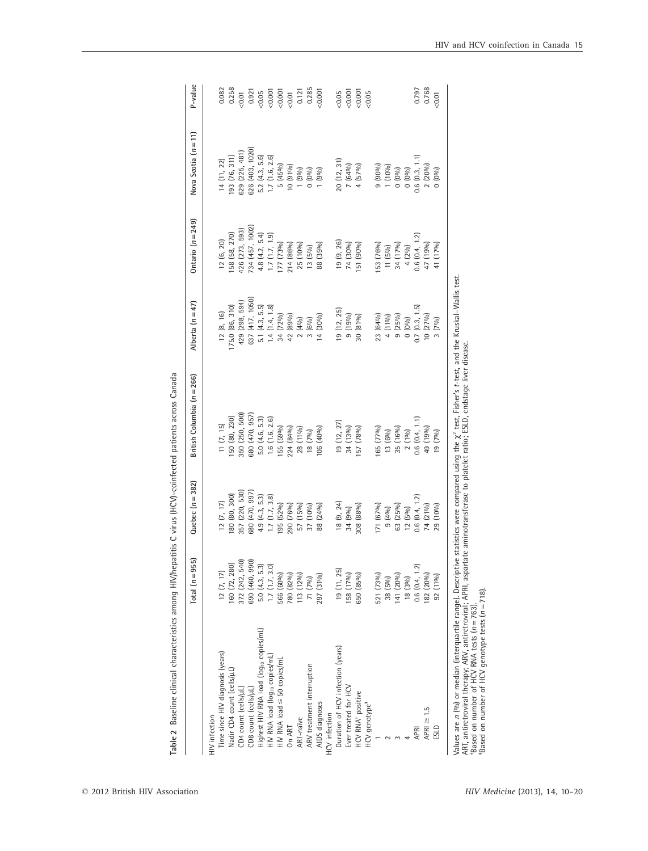|                                                                                                                                                                                                                                                                                                                                                                                                               | Total $(n = 955)$                                                                                                   | Quebec $(n=382)$ | British Columbia (n = 266) | Alberta $(n = 47)$ | Ontario $(n=249)$ | Nova Scotia $(n = 11)$ | P-value |
|---------------------------------------------------------------------------------------------------------------------------------------------------------------------------------------------------------------------------------------------------------------------------------------------------------------------------------------------------------------------------------------------------------------|---------------------------------------------------------------------------------------------------------------------|------------------|----------------------------|--------------------|-------------------|------------------------|---------|
| HIV infection                                                                                                                                                                                                                                                                                                                                                                                                 |                                                                                                                     |                  |                            |                    |                   |                        |         |
| Time since HIV diagnosis (years)                                                                                                                                                                                                                                                                                                                                                                              | 12(7, 17)                                                                                                           | 12(7, 17)        | 11(7, 15)                  | 12(8, 16)          | 12(6, 20)         | 14(11, 22)             | 0.082   |
| Nadir CD4 count (cells/µL)                                                                                                                                                                                                                                                                                                                                                                                    | 160 (72, 280)                                                                                                       | 80 (80, 300)     | 50 (80, 230)               | 175.0 (86, 310)    | 58 (58, 270)      | 193 (76, 311)          | 0.258   |
| CD4 count (cells/µL)                                                                                                                                                                                                                                                                                                                                                                                          |                                                                                                                     | 357 (220, 530)   | 350 (250, 500)             | 429 (298, 594)     | 426 (273, 593)    | 629 (225, 481)         | $-0.01$ |
| CD8 count (cells/uL)                                                                                                                                                                                                                                                                                                                                                                                          |                                                                                                                     | 680 (470, 997    | 680 (470, 957              | 637 (417, 1050)    | 734 (457, 1002)   | 626 (403, 1020)        | 0.921   |
| Highest HIV RNA load (log <sub>10</sub> copies/mL)                                                                                                                                                                                                                                                                                                                                                            |                                                                                                                     | 4.9(4.3, 5.3)    | 5.0 (4.6, 5.3)             | 5.1(4.3, 5.5)      | 4.8 (4.2, 5.4)    | 5.2(4.3, 5.6)          |         |
| HIV RNA load (log <sub>10</sub> copies/mL)                                                                                                                                                                                                                                                                                                                                                                    | $\begin{array}{c} 372 \ (242, \ 540) \\ 690 \ (460, \ 990) \\ 5.0 \ (4.3, \ 5.3) \\ 1.7 \ (1.7, \ 3.0) \end{array}$ | 1.7(1.7, 3.8)    | 1.6(1.6, 2.6)              | 1.4(1.4, 1.8)      | 1.7(1.7, 1.9)     | 1.7(1.6, 2.6)          | $-0.05$ |
| HIV RNA load ≤ 50 copies/mL                                                                                                                                                                                                                                                                                                                                                                                   | 566 (60%)                                                                                                           | 195 (52%)        | 155 (59%)                  | 34 (72%)           | 177 (73%)         | 5 (45%)                | 0.001   |
| On ART                                                                                                                                                                                                                                                                                                                                                                                                        | 780 (82%)                                                                                                           | 290 (76%)        | 224 (84%)                  | 42 (89%)           | 214 (86%)         | 10(91%)                | 50.01   |
| ART-naïve                                                                                                                                                                                                                                                                                                                                                                                                     | 113 (12%)                                                                                                           | 57 (15%)         | 28 (11%)                   | 2(400)             | 25 (10%)          | 1 (90/0)               | 0.121   |
| ARV treatment interruption                                                                                                                                                                                                                                                                                                                                                                                    | 71 (7%)                                                                                                             | 37 (10%)         | 18 (7%)                    | 3 (6%)             | 13 (5%)           | 0(000)                 | 0.285   |
| AIDS diagnoses                                                                                                                                                                                                                                                                                                                                                                                                | 297 (31%)                                                                                                           | 88 (24%)         | 06 (40%)                   | 14 (30%)           | 88 (35%)          | 1(90/0)                | 0.001   |
| HCV infection                                                                                                                                                                                                                                                                                                                                                                                                 |                                                                                                                     |                  |                            |                    |                   |                        |         |
| Duration of HCV infection (years)                                                                                                                                                                                                                                                                                                                                                                             | 19 (11, 25)                                                                                                         | 18(9, 24)        | 19(12, 27)                 | 19 (12, 25)        | 19 (9, 26)        | 20 (12, 31)            | 0.05    |
| Ever treated for HCV                                                                                                                                                                                                                                                                                                                                                                                          | 158 (17%)                                                                                                           | 34 (9%)          | 34 (13%)                   | 9(1900)            | 74 (30%)          | 7(64%)                 | 0.001   |
| HCV RNA <sup>+</sup> positive                                                                                                                                                                                                                                                                                                                                                                                 | 650 (85%)                                                                                                           | 308 (88%)        | 57 (78%)                   | 30 (81%)           | [90%] [5]         | 4 (57%)                | 0.001   |
| HCV genotype <sup>+</sup>                                                                                                                                                                                                                                                                                                                                                                                     |                                                                                                                     |                  |                            |                    |                   |                        | 0.05    |
|                                                                                                                                                                                                                                                                                                                                                                                                               | 521 (73%)                                                                                                           | 171 (67%)        | 65 (77%)                   | 23 (64%)           | 53 (76%)          | 9(90%)                 |         |
|                                                                                                                                                                                                                                                                                                                                                                                                               | 38 (5%)                                                                                                             | 9(40)            | 13 (6%)                    | 4(1106)            | 11 (5%)           | 1(10%)                 |         |
|                                                                                                                                                                                                                                                                                                                                                                                                               | 141 (20%)                                                                                                           | 63 (25%)         | 35 (16%)                   | 9(25%)             | 34 (17%)          | 0(00/0)                |         |
|                                                                                                                                                                                                                                                                                                                                                                                                               | 18 (3%)                                                                                                             | 12 (5%)          | 2(100)                     | 0(00/0)            | 4 (2%)            | 0(00/6)                |         |
| <b>APRI</b>                                                                                                                                                                                                                                                                                                                                                                                                   | 0.6(0.4, 1.2)                                                                                                       | 0.6(0.4, 1.2)    | 0.6(0.4, 1.1)              | 0.7(0.3, 1.5)      | 0.6(0.4, 1.2)     | 0.6(0.3, 1.1)          | 0.797   |
| $APRI \geq 1.5$                                                                                                                                                                                                                                                                                                                                                                                               | 182 (20%)                                                                                                           | 74 (21%)         | 49 (19%)                   | 10(27%)            | 47 (19%)          | 2(20%)                 | 0.768   |
| <b>ESLD</b>                                                                                                                                                                                                                                                                                                                                                                                                   | 92 (11%)                                                                                                            | 29 (10%)         | 19 (7%)                    | 3 (7%)             | 41 (17%)          | 0(00/6)                | 0.01    |
| Values are $n$ (96) or median (interquartile range). Descriptive statistics were compared using the $\chi^2$ test, Fisher's t-test, and the Kruskal-Wallis test.<br>ART, antiretroviral therapy; ARV, antiretroviral; APRI, aspartate aminotransferase to platelet ratio; ESLD, endstage liver disease.<br>Based on number of HCV genotype tests (n = 718).<br>Based on number of HCV RNA tests $(n = 763)$ . |                                                                                                                     |                  |                            |                    |                   |                        |         |

Table 2 Baseline clinical characteristics among HIV/hepatitis C virus (HCV)-coinfected patients across Canada **Table 2** Baseline clinical characteristics among HIV/hepatitis C virus (HCV)-coinfected patients across Canada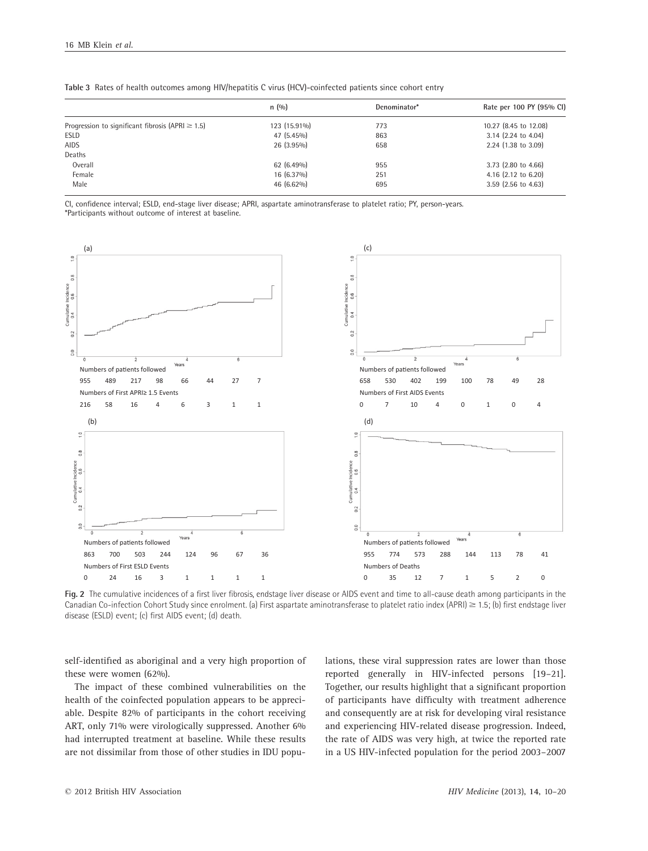|  |  |  |  |  |  | Table 3 Rates of health outcomes among HIV/hepatitis C virus (HCV)-coinfected patients since cohort entry |  |
|--|--|--|--|--|--|-----------------------------------------------------------------------------------------------------------|--|
|--|--|--|--|--|--|-----------------------------------------------------------------------------------------------------------|--|

|                                                       | n(90)        | Denominator* | Rate per 100 PY (95% CI) |
|-------------------------------------------------------|--------------|--------------|--------------------------|
| Progression to significant fibrosis (APRI $\geq$ 1.5) | 123 (15.91%) | 773          | 10.27 (8.45 to 12.08)    |
| ESLD                                                  | 47 (5.45%)   | 863          | 3.14 (2.24 to 4.04)      |
| <b>AIDS</b>                                           | $26(3.95\%)$ | 658          | 2.24 (1.38 to 3.09)      |
| Deaths                                                |              |              |                          |
| Overall                                               | $62(6.49\%)$ | 955          | 3.73 (2.80 to 4.66)      |
| Female                                                | 16 (6.37%)   | 251          | 4.16 (2.12 to 6.20)      |
| Male                                                  | 46 (6.62%)   | 695          | $3.59$ (2.56 to 4.63)    |

CI, confidence interval; ESLD, end-stage liver disease; APRI, aspartate aminotransferase to platelet ratio; PY, person-years. \*Participants without outcome of interest at baseline.



**Fig. 2** The cumulative incidences of a first liver fibrosis, endstage liver disease or AIDS event and time to all-cause death among participants in the Canadian Co-infection Cohort Study since enrolment. (a) First aspartate aminotransferase to platelet ratio index (APRI)  $\geq$  1.5; (b) first endstage liver disease (ESLD) event; (c) first AIDS event; (d) death.

self-identified as aboriginal and a very high proportion of these were women (62%).

The impact of these combined vulnerabilities on the health of the coinfected population appears to be appreciable. Despite 82% of participants in the cohort receiving ART, only 71% were virologically suppressed. Another 6% had interrupted treatment at baseline. While these results are not dissimilar from those of other studies in IDU populations, these viral suppression rates are lower than those reported generally in HIV-infected persons [19–21]. Together, our results highlight that a significant proportion of participants have difficulty with treatment adherence and consequently are at risk for developing viral resistance and experiencing HIV-related disease progression. Indeed, the rate of AIDS was very high, at twice the reported rate in a US HIV-infected population for the period 2003–2007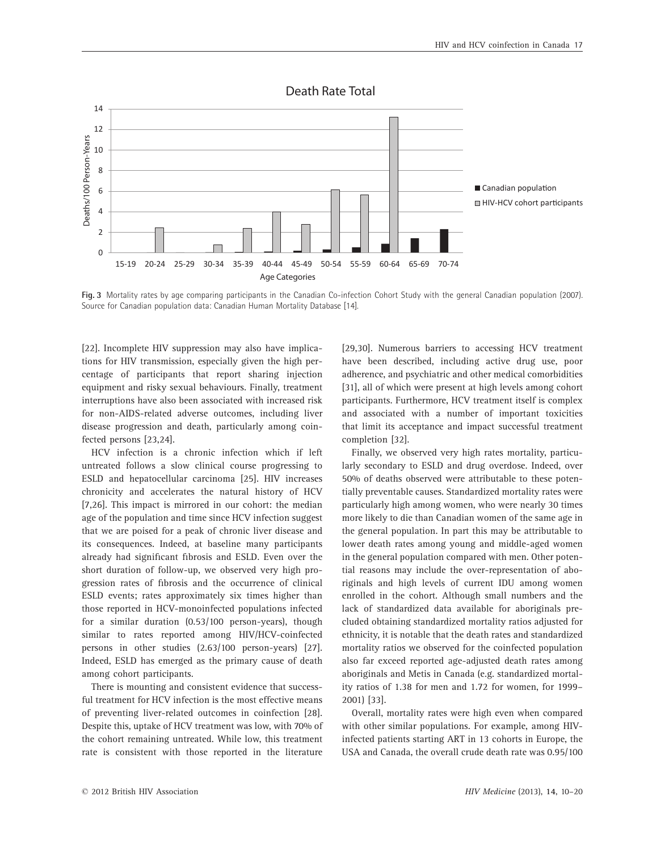

## Death Rate Total

**Fig. 3** Mortality rates by age comparing participants in the Canadian Co-infection Cohort Study with the general Canadian population (2007). Source for Canadian population data: Canadian Human Mortality Database [14].

[22]. Incomplete HIV suppression may also have implications for HIV transmission, especially given the high percentage of participants that report sharing injection equipment and risky sexual behaviours. Finally, treatment interruptions have also been associated with increased risk for non-AIDS-related adverse outcomes, including liver disease progression and death, particularly among coinfected persons [23,24].

HCV infection is a chronic infection which if left untreated follows a slow clinical course progressing to ESLD and hepatocellular carcinoma [25]. HIV increases chronicity and accelerates the natural history of HCV [7,26]. This impact is mirrored in our cohort: the median age of the population and time since HCV infection suggest that we are poised for a peak of chronic liver disease and its consequences. Indeed, at baseline many participants already had significant fibrosis and ESLD. Even over the short duration of follow-up, we observed very high progression rates of fibrosis and the occurrence of clinical ESLD events; rates approximately six times higher than those reported in HCV-monoinfected populations infected for a similar duration (0.53/100 person-years), though similar to rates reported among HIV/HCV-coinfected persons in other studies (2.63/100 person-years) [27]. Indeed, ESLD has emerged as the primary cause of death among cohort participants.

There is mounting and consistent evidence that successful treatment for HCV infection is the most effective means of preventing liver-related outcomes in coinfection [28]. Despite this, uptake of HCV treatment was low, with 70% of the cohort remaining untreated. While low, this treatment rate is consistent with those reported in the literature [29,30]. Numerous barriers to accessing HCV treatment have been described, including active drug use, poor adherence, and psychiatric and other medical comorbidities [31], all of which were present at high levels among cohort participants. Furthermore, HCV treatment itself is complex and associated with a number of important toxicities that limit its acceptance and impact successful treatment completion [32].

Finally, we observed very high rates mortality, particularly secondary to ESLD and drug overdose. Indeed, over 50% of deaths observed were attributable to these potentially preventable causes. Standardized mortality rates were particularly high among women, who were nearly 30 times more likely to die than Canadian women of the same age in the general population. In part this may be attributable to lower death rates among young and middle-aged women in the general population compared with men. Other potential reasons may include the over-representation of aboriginals and high levels of current IDU among women enrolled in the cohort. Although small numbers and the lack of standardized data available for aboriginals precluded obtaining standardized mortality ratios adjusted for ethnicity, it is notable that the death rates and standardized mortality ratios we observed for the coinfected population also far exceed reported age-adjusted death rates among aboriginals and Metis in Canada (e.g. standardized mortality ratios of 1.38 for men and 1.72 for women, for 1999– 2001) [33].

Overall, mortality rates were high even when compared with other similar populations. For example, among HIVinfected patients starting ART in 13 cohorts in Europe, the USA and Canada, the overall crude death rate was 0.95/100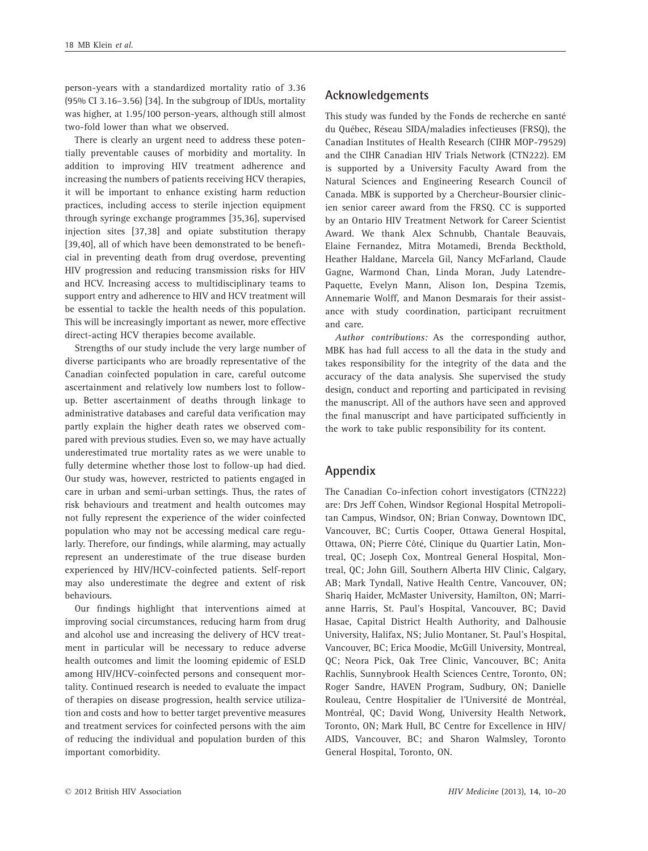person-years with a standardized mortality ratio of 3.36 (95% CI 3.16–3.56) [34]. In the subgroup of IDUs, mortality was higher, at 1.95/100 person-years, although still almost two-fold lower than what we observed.

There is clearly an urgent need to address these potentially preventable causes of morbidity and mortality. In addition to improving HIV treatment adherence and increasing the numbers of patients receiving HCV therapies, it will be important to enhance existing harm reduction practices, including access to sterile injection equipment through syringe exchange programmes [35,36], supervised injection sites [37,38] and opiate substitution therapy [39,40], all of which have been demonstrated to be beneficial in preventing death from drug overdose, preventing HIV progression and reducing transmission risks for HIV and HCV. Increasing access to multidisciplinary teams to support entry and adherence to HIV and HCV treatment will be essential to tackle the health needs of this population. This will be increasingly important as newer, more effective direct-acting HCV therapies become available.

Strengths of our study include the very large number of diverse participants who are broadly representative of the Canadian coinfected population in care, careful outcome ascertainment and relatively low numbers lost to followup. Better ascertainment of deaths through linkage to administrative databases and careful data verification may partly explain the higher death rates we observed compared with previous studies. Even so, we may have actually underestimated true mortality rates as we were unable to fully determine whether those lost to follow-up had died. Our study was, however, restricted to patients engaged in care in urban and semi-urban settings. Thus, the rates of risk behaviours and treatment and health outcomes may not fully represent the experience of the wider coinfected population who may not be accessing medical care regularly. Therefore, our findings, while alarming, may actually represent an underestimate of the true disease burden experienced by HIV/HCV-coinfected patients. Self-report may also underestimate the degree and extent of risk behaviours.

Our findings highlight that interventions aimed at improving social circumstances, reducing harm from drug and alcohol use and increasing the delivery of HCV treatment in particular will be necessary to reduce adverse health outcomes and limit the looming epidemic of ESLD among HIV/HCV-coinfected persons and consequent mortality. Continued research is needed to evaluate the impact of therapies on disease progression, health service utilization and costs and how to better target preventive measures and treatment services for coinfected persons with the aim of reducing the individual and population burden of this important comorbidity.

## **Acknowledgements**

This study was funded by the Fonds de recherche en santé du Québec, Réseau SIDA/maladies infectieuses (FRSQ), the Canadian Institutes of Health Research (CIHR MOP-79529) and the CIHR Canadian HIV Trials Network (CTN222). EM is supported by a University Faculty Award from the Natural Sciences and Engineering Research Council of Canada. MBK is supported by a Chercheur-Boursier clinicien senior career award from the FRSQ. CC is supported by an Ontario HIV Treatment Network for Career Scientist Award. We thank Alex Schnubb, Chantale Beauvais, Elaine Fernandez, Mitra Motamedi, Brenda Beckthold, Heather Haldane, Marcela Gil, Nancy McFarland, Claude Gagne, Warmond Chan, Linda Moran, Judy Latendre-Paquette, Evelyn Mann, Alison Ion, Despina Tzemis, Annemarie Wolff, and Manon Desmarais for their assistance with study coordination, participant recruitment and care.

*Author contributions:* As the corresponding author, MBK has had full access to all the data in the study and takes responsibility for the integrity of the data and the accuracy of the data analysis. She supervised the study design, conduct and reporting and participated in revising the manuscript. All of the authors have seen and approved the final manuscript and have participated sufficiently in the work to take public responsibility for its content.

## **Appendix**

The Canadian Co-infection cohort investigators (CTN222) are: Drs Jeff Cohen, Windsor Regional Hospital Metropolitan Campus, Windsor, ON; Brian Conway, Downtown IDC, Vancouver, BC; Curtis Cooper, Ottawa General Hospital, Ottawa, ON; Pierre Côté, Clinique du Quartier Latin, Montreal, QC; Joseph Cox, Montreal General Hospital, Montreal, QC; John Gill, Southern Alberta HIV Clinic, Calgary, AB; Mark Tyndall, Native Health Centre, Vancouver, ON; Shariq Haider, McMaster University, Hamilton, ON; Marrianne Harris, St. Paul's Hospital, Vancouver, BC; David Hasae, Capital District Health Authority, and Dalhousie University, Halifax, NS; Julio Montaner, St. Paul's Hospital, Vancouver, BC; Erica Moodie, McGill University, Montreal, QC; Neora Pick, Oak Tree Clinic, Vancouver, BC; Anita Rachlis, Sunnybrook Health Sciences Centre, Toronto, ON; Roger Sandre, HAVEN Program, Sudbury, ON; Danielle Rouleau, Centre Hospitalier de l'Université de Montréal, Montréal, QC; David Wong, University Health Network, Toronto, ON; Mark Hull, BC Centre for Excellence in HIV/ AIDS, Vancouver, BC; and Sharon Walmsley, Toronto General Hospital, Toronto, ON.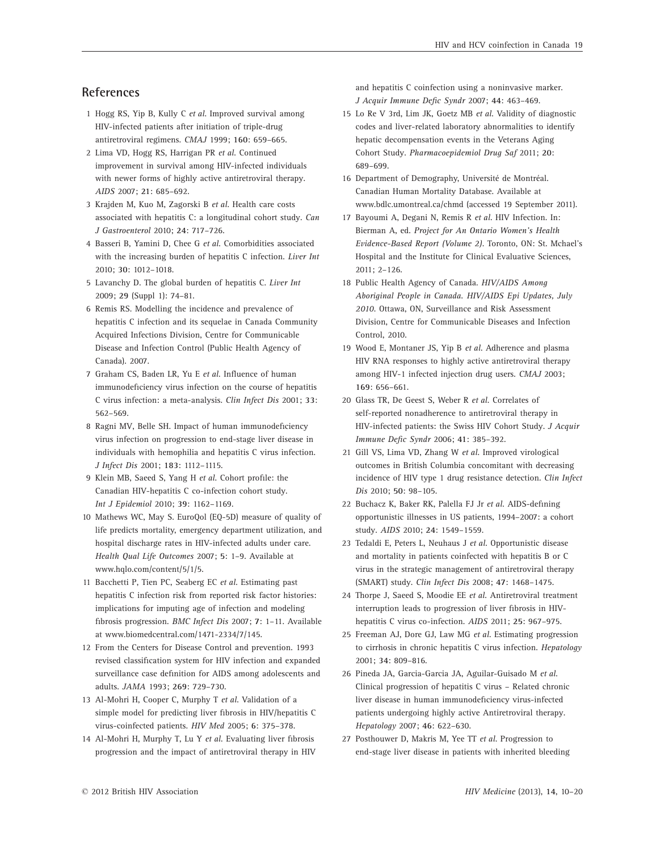## **References**

- 1 Hogg RS, Yip B, Kully C *et al*. Improved survival among HIV-infected patients after initiation of triple-drug antiretroviral regimens. *CMAJ* 1999; **160**: 659–665.
- 2 Lima VD, Hogg RS, Harrigan PR *et al*. Continued improvement in survival among HIV-infected individuals with newer forms of highly active antiretroviral therapy. *AIDS* 2007; **21**: 685–692.
- 3 Krajden M, Kuo M, Zagorski B *et al*. Health care costs associated with hepatitis C: a longitudinal cohort study. *Can J Gastroenterol* 2010; **24**: 717–726.
- 4 Basseri B, Yamini D, Chee G *et al*. Comorbidities associated with the increasing burden of hepatitis C infection. *Liver Int* 2010; **30**: 1012–1018.
- 5 Lavanchy D. The global burden of hepatitis C. *Liver Int* 2009; **29** (Suppl 1): 74–81.
- 6 Remis RS. Modelling the incidence and prevalence of hepatitis C infection and its sequelae in Canada Community Acquired Infections Division, Centre for Communicable Disease and Infection Control (Public Health Agency of Canada). 2007.
- 7 Graham CS, Baden LR, Yu E *et al*. Influence of human immunodeficiency virus infection on the course of hepatitis C virus infection: a meta-analysis. *Clin Infect Dis* 2001; **33**: 562–569.
- 8 Ragni MV, Belle SH. Impact of human immunodeficiency virus infection on progression to end-stage liver disease in individuals with hemophilia and hepatitis C virus infection. *J Infect Dis* 2001; **183**: 1112–1115.
- 9 Klein MB, Saeed S, Yang H *et al*. Cohort profile: the Canadian HIV-hepatitis C co-infection cohort study. *Int J Epidemiol* 2010; **39**: 1162–1169.
- 10 Mathews WC, May S. EuroQol (EQ-5D) measure of quality of life predicts mortality, emergency department utilization, and hospital discharge rates in HIV-infected adults under care. *Health Qual Life Outcomes* 2007; **5**: 1–9. Available at www.hqlo.com/content/5/1/5.
- 11 Bacchetti P, Tien PC, Seaberg EC *et al*. Estimating past hepatitis C infection risk from reported risk factor histories: implications for imputing age of infection and modeling fibrosis progression. *BMC Infect Dis* 2007; **7**: 1–11. Available at www.biomedcentral.com/1471-2334/7/145.
- 12 From the Centers for Disease Control and prevention. 1993 revised classification system for HIV infection and expanded surveillance case definition for AIDS among adolescents and adults. *JAMA* 1993; **269**: 729–730.
- 13 Al-Mohri H, Cooper C, Murphy T *et al*. Validation of a simple model for predicting liver fibrosis in HIV/hepatitis C virus-coinfected patients. *HIV Med* 2005; **6**: 375–378.
- 14 Al-Mohri H, Murphy T, Lu Y *et al*. Evaluating liver fibrosis progression and the impact of antiretroviral therapy in HIV

and hepatitis C coinfection using a noninvasive marker. *J Acquir Immune Defic Syndr* 2007; **44**: 463–469.

- 15 Lo Re V 3rd, Lim JK, Goetz MB *et al*. Validity of diagnostic codes and liver-related laboratory abnormalities to identify hepatic decompensation events in the Veterans Aging Cohort Study. *Pharmacoepidemiol Drug Saf* 2011; **20**: 689–699.
- 16 Department of Demography, Université de Montréal. Canadian Human Mortality Database. Available at www.bdlc.umontreal.ca/chmd (accessed 19 September 2011).
- 17 Bayoumi A, Degani N, Remis R *et al*. HIV Infection. In: Bierman A, ed. *Project for An Ontario Women's Health Evidence-Based Report (Volume 2)*. Toronto, ON: St. Mchael's Hospital and the Institute for Clinical Evaluative Sciences, 2011; 2–126.
- 18 Public Health Agency of Canada. *HIV/AIDS Among Aboriginal People in Canada. HIV/AIDS Epi Updates, July 2010*. Ottawa, ON, Surveillance and Risk Assessment Division, Centre for Communicable Diseases and Infection Control, 2010.
- 19 Wood E, Montaner JS, Yip B *et al*. Adherence and plasma HIV RNA responses to highly active antiretroviral therapy among HIV-1 infected injection drug users. *CMAJ* 2003; **169**: 656–661.
- 20 Glass TR, De Geest S, Weber R *et al*. Correlates of self-reported nonadherence to antiretroviral therapy in HIV-infected patients: the Swiss HIV Cohort Study. *J Acquir Immune Defic Syndr* 2006; **41**: 385–392.
- 21 Gill VS, Lima VD, Zhang W *et al*. Improved virological outcomes in British Columbia concomitant with decreasing incidence of HIV type 1 drug resistance detection. *Clin Infect Dis* 2010; **50**: 98–105.
- 22 Buchacz K, Baker RK, Palella FJ Jr *et al*. AIDS-defining opportunistic illnesses in US patients, 1994–2007: a cohort study. *AIDS* 2010; **24**: 1549–1559.
- 23 Tedaldi E, Peters L, Neuhaus J *et al*. Opportunistic disease and mortality in patients coinfected with hepatitis B or C virus in the strategic management of antiretroviral therapy (SMART) study. *Clin Infect Dis* 2008; **47**: 1468–1475.
- 24 Thorpe J, Saeed S, Moodie EE *et al*. Antiretroviral treatment interruption leads to progression of liver fibrosis in HIVhepatitis C virus co-infection. *AIDS* 2011; **25**: 967–975.
- 25 Freeman AJ, Dore GJ, Law MG *et al*. Estimating progression to cirrhosis in chronic hepatitis C virus infection. *Hepatology* 2001; **34**: 809–816.
- 26 Pineda JA, Garcia-Garcia JA, Aguilar-Guisado M *et al*. Clinical progression of hepatitis C virus – Related chronic liver disease in human immunodeficiency virus-infected patients undergoing highly active Antiretroviral therapy. *Hepatology* 2007; **46**: 622–630.
- 27 Posthouwer D, Makris M, Yee TT *et al*. Progression to end-stage liver disease in patients with inherited bleeding